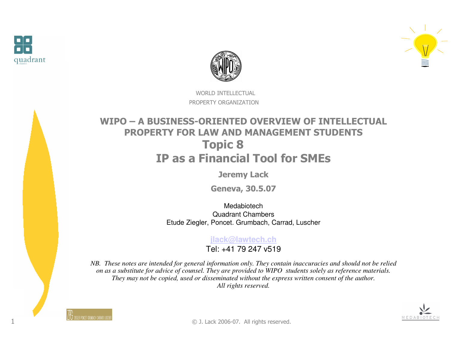

1





WORLD INTELLECTUALPROPERTY ORGANIZATION

#### WIPO – A BUSINESS-ORIENTED OVERVIEW OF INTELLECTUAL PROPERTY FOR LAW AND MANAGEMENT STUDENTSTopic 8IP as a Financial Tool for SMEs

Jeremy Lack

Geneva, 30.5.07

Medabiotech Quadrant ChambersEtude Ziegler, Poncet. Grumbach, Carrad, Luscher

**jlack@lawtech.ch**

Tel: +41 79 247 v519

*NB. These notes are intended for general information only. They contain inaccuracies and should not be relied on as a substitute for advice of counsel. They are provided to WIPO students solely as reference materials. They may not be copied, used or disseminated without the express written consent of the author. All rights reserved.*



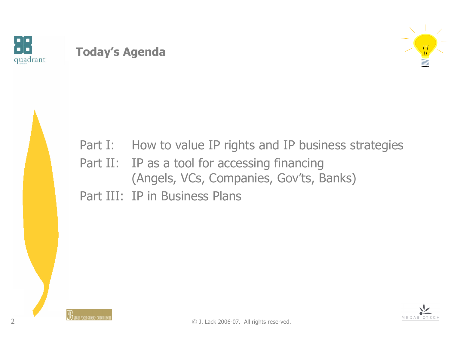

## Today's Agenda





Part I: How to value IP rights and IP business strategies

(Angels, VCs, Companies, Gov'ts, Banks)

Part II: IP as a tool for accessing financing

Part III: IP in Business Plans

2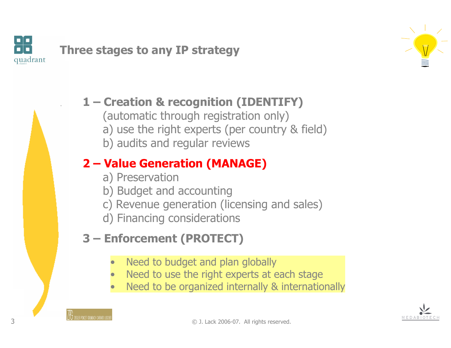



#### 1 – Creation & recognition (IDENTIFY)

- (automatic through registration only)
- a) use the right experts (per country & field)
- b) audits and regular reviews

# 2 – Value Generation (MANAGE)

- a) Preservation
- b) Budget and accounting
- c) Revenue generation (licensing and sales)
- d) Financing considerations

# 3 – Enforcement (PROTECT)

- •Need to budget and plan globally
- •Need to use the right experts at each stage
- •Need to be organized internally & internationally

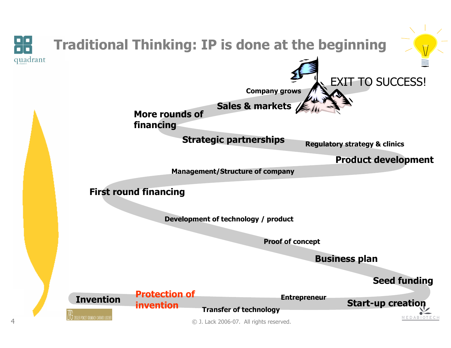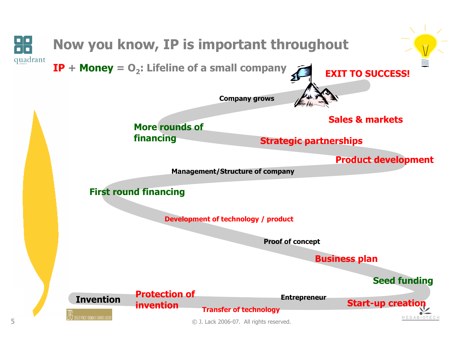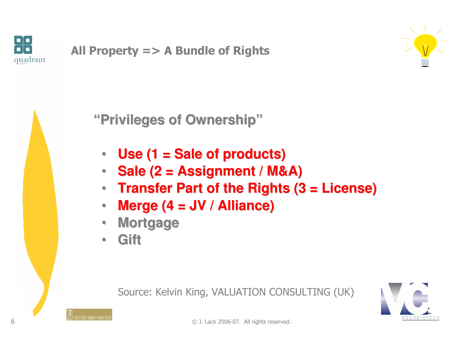



**"Privileges of Ownership"**

- $\bullet$ **Use (1 = Sale of products)**
- •**Sale (2 = Assignment / M&A)**
- **Transfer Part of the Rights (3 = License)**
- $\bullet$ **Merge (4 = JV / Alliance)**
- •**Mortgage**
- •**Gift**

Source: Kelvin King, VALUATION CONSULTING (UK)

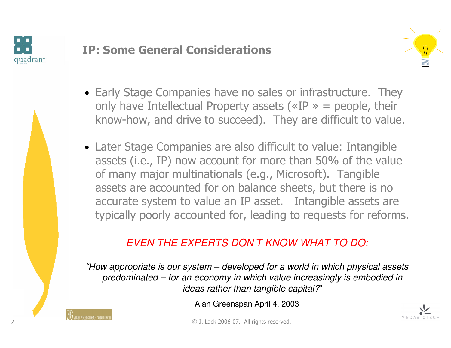

#### IP: Some General Considerations



- Early Stage Companies have no sales or infrastructure. They only have Intellectual Property assets ( $\alpha$ IP  $\alpha$  = people, their know-how, and drive to succeed). They are difficult to value.
- Later Stage Companies are also difficult to value: Intangible assets (i.e., IP) now account for more than 50% of the value of many major multinationals (e.g., Microsoft). Tangible assets are accounted for on balance sheets, but there is no accurate system to value an IP asset. Intangible assets are typically poorly accounted for, leading to requests for reforms.

#### EVEN THE EXPERTS DON'T KNOW WHAT TO DO:

"How appropriate is our system – developed for a world in which physical assets predominated – for an economy in which value increasingly is embodied in ideas rather than tangible capital?"

Alan Greenspan April 4, 2003

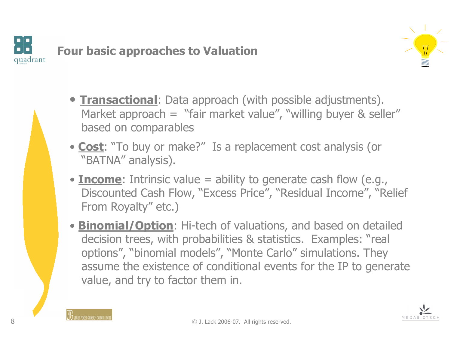



- **Transactional**: Data approach (with possible adjustments). Market approach = "fair market value", "willing buyer & seller" based on comparables
- Cost: "To buy or make?" Is a replacement cost analysis (or "RATNA" analysis) "BATNA" analysis).
- **Income**: Intrinsic value = ability to generate cash flow (e.g., Discounted Cash Flow, "Excess Price", "Residual Income", "Relief From Royalty" etc.)
- **Binomial/Option**: Hi-tech of valuations, and based on detailed decision trees, with probabilities & statistics. Examples: "real options", "binomial models", "Monte Carlo" simulations. They<br>assume the existence of conditional events for the IP to gener assume the existence of conditional events for the IP to generate value, and try to factor them in.

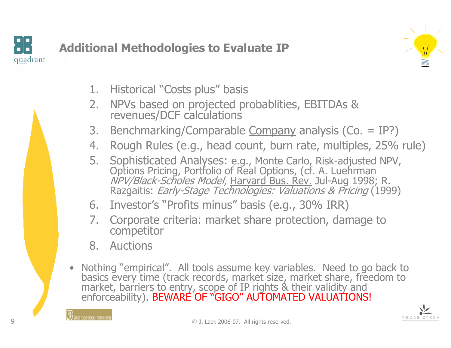



- 1. Historical "Costs plus" basis
- 2. NPVs based on projected probablities, EBITDAs & revenues/DCF calculations
- 3. Benchmarking/Comparable Company analysis (Co. = IP?)<br>4. Rough Rules (e.g., head count, burn rate, multiples, 25%
- 4. Rough Rules (e.g., head count, burn rate, multiples, 25% rule)<br>5. Sophisticated Analyses: e.g., Monte Carlo, Risk-adjusted NPV,
- 5. Sophisticated Analyses: e.g., Monte Carlo, Risk-adjusted NPV,<br>Options Pricing, Portfolio of Real Options, (cf. A. Luehrman *NPV/Black-Scholes Model,* <u>Harvard Bus. Rev.</u> Jul-Aug 1998; R.<br>Razgaitis: *Early-Stage Technologies: Valuations & Pricing* (1999)
- 6. Investor's "Profits minus" basis (e.g., 30% IRR)
- 7. Corporate criteria: market share protection, damage to competitor
- 8. Auctions
- Nothing "empirical". All tools assume key variables. Need to go back to basics every time (track records, market size, market share, freedom to market, barriers to entry, scope of IP rights & their validity and enforceability). BEWARE OF "GIGO" AUTOMATED VALUATIONS!

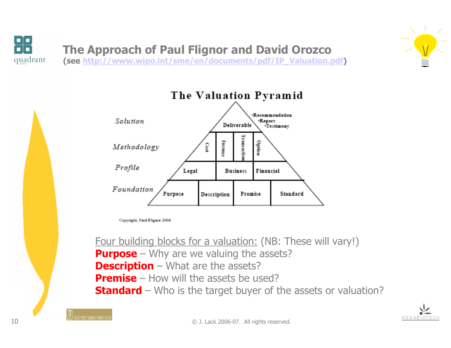





Copyright, Paul Flignor 2006

Four building blocks for a valuation: (NB: These will vary!)**Purpose** – Why are we valuing the assets?<br>**Descrintion** – What are the assets? **Description** – What are the assets?<br>Premise – How will the assets be us **Premise** – How will the assets be used? **Premise** – How will the assets be used?<br>Standard – Who is the target buyer of the assets or valuation?



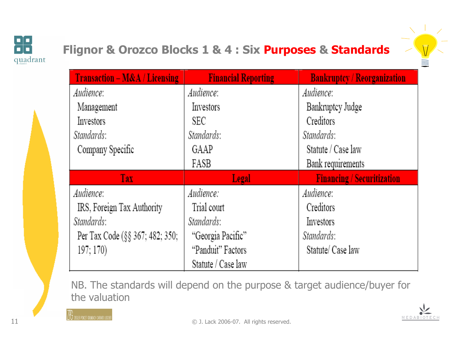

# Flignor & Orozco Blocks 1 & 4 : Six Purposes & Standards



| <b>Transaction - M&amp;A / Licensing</b> | <b>Financial Reporting</b> | <b>Bankruptcy / Reorganization</b> |
|------------------------------------------|----------------------------|------------------------------------|
| Audience:                                | Audience:                  | Audience:                          |
| Management                               | Investors                  | Bankruptcy Judge                   |
| Investors                                | SEC                        | Creditors                          |
| Standards:                               | Standards:                 | Standards:                         |
| Company Specific                         | GAAP                       | Statute / Case law                 |
|                                          | FASB                       | Bank requirements                  |
|                                          |                            |                                    |
| <b>Tax</b>                               | Legal                      | <b>Financing / Securitization</b>  |
| Audience:                                | Audience:                  | Audience:                          |
| IRS, Foreign Tax Authority               | Trial court                | Creditors                          |
| Standards:                               | Standards:                 | Investors                          |
| Per Tax Code (§§ 367; 482; 350;          | "Georgia Pacific"          | Standards:                         |
| 197; 170)                                | "Panduit" Factors          | Statute/ Case law                  |

NB. The standards will depend on the purpose & target audience/buyer for the valuation

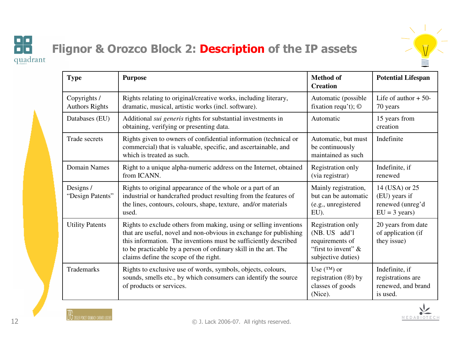

MEDABIOTE

# Flignor & Orozco Block 2: Description of the IP assets

| <b>Type</b>                           | <b>Purpose</b>                                                                                                                                                                                                                                                                                                        | <b>Method of</b><br><b>Creation</b>                                                                   | <b>Potential Lifespan</b>                                                     |
|---------------------------------------|-----------------------------------------------------------------------------------------------------------------------------------------------------------------------------------------------------------------------------------------------------------------------------------------------------------------------|-------------------------------------------------------------------------------------------------------|-------------------------------------------------------------------------------|
| Copyrights /<br><b>Authors Rights</b> | Rights relating to original/creative works, including literary,<br>dramatic, musical, artistic works (incl. software).                                                                                                                                                                                                | Automatic (possible<br>fixation requ't); $\odot$                                                      | Life of author $+50$ -<br>70 years                                            |
| Databases (EU)                        | Additional <i>sui generis</i> rights for substantial investments in<br>obtaining, verifying or presenting data.                                                                                                                                                                                                       | Automatic                                                                                             | 15 years from<br>creation                                                     |
| Trade secrets                         | Rights given to owners of confidential information (technical or<br>commercial) that is valuable, specific, and ascertainable, and<br>which is treated as such.                                                                                                                                                       | Automatic, but must<br>be continuously<br>maintained as such                                          | Indefinite                                                                    |
| <b>Domain Names</b>                   | Right to a unique alpha-numeric address on the Internet, obtained<br>from ICANN.                                                                                                                                                                                                                                      | Registration only<br>(via registrar)                                                                  | Indefinite, if<br>renewed                                                     |
| Designs /<br>"Design Patents"         | Rights to original appearance of the whole or a part of an<br>industrial or handcrafted product resulting from the features of<br>the lines, contours, colours, shape, texture, and/or materials<br>used.                                                                                                             | Mainly registration,<br>but can be automatic<br>(e.g., unregistered<br>EU).                           | 14 (USA) or 25<br>(EU) years if<br>renewed (unreg'd<br>$EU = 3 \text{ years}$ |
| <b>Utility Patents</b>                | Rights to exclude others from making, using or selling inventions<br>that are useful, novel and non-obvious in exchange for publishing<br>this information. The inventions must be sufficiently described<br>to be practicable by a person of ordinary skill in the art. The<br>claims define the scope of the right. | Registration only<br>(NB. US add'l<br>requirements of<br>"first to invent" $\&$<br>subjective duties) | 20 years from date<br>of application (if<br>they issue)                       |
| Trademarks                            | Rights to exclusive use of words, symbols, objects, colours,<br>sounds, smells etc., by which consumers can identify the source<br>of products or services.                                                                                                                                                           | Use $(\text{TM})$ or<br>registration (®) by<br>classes of goods<br>(Nice).                            | Indefinite, if<br>registrations are<br>renewed, and brand<br>is used.         |



98

quadrant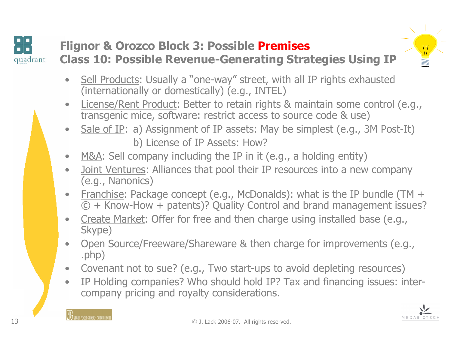

# Flignor & Orozco Block 3: Possible Premises Class 10: Possible Revenue-Generating Strategies Using IP



- • Sell Products: Usually a "one-way" street, with all IP rights exhausted (internationally or domestically) (e.g., INTEL)
- • License/Rent Product: Better to retain rights & maintain some control (e.g., transgenic mice, software: restrict access to source code & use)
- •Sale of IP: a) Assignment of IP assets: May be simplest (e.g., 3M Post-It) b) License of IP Assets: How?
- •M&A: Sell company including the IP in it (e.g., a holding entity)
- • Joint Ventures: Alliances that pool their IP resources into a new company (e.g., Nanonics)
- • Franchise: Package concept (e.g., McDonalds): what is the IP bundle (TM + © + Know-How + patents)? Quality Control and brand management issues?
- • Create Market: Offer for free and then charge using installed base (e.g., Skype)
- • Open Source/Freeware/Shareware & then charge for improvements (e.g., .php)
- •Covenant not to sue? (e.g., Two start-ups to avoid depleting resources)
- $\bullet$  IP Holding companies? Who should hold IP? Tax and financing issues: intercompany pricing and royalty considerations.

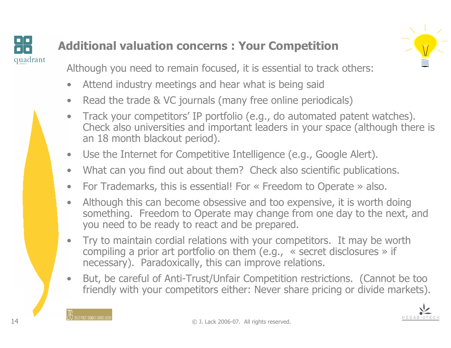# quadrant

14

# Additional valuation concerns : Your Competition



Although you need to remain focused, it is essential to track others:

- •Attend industry meetings and hear what is being said
- •Read the trade & VC journals (many free online periodicals)
- $\bullet$  Track your competitors' IP portfolio (e.g., do automated patent watches). Check also universities and important leaders in your space (although there is an 18 month blackout period).
- $\bullet$ Use the Internet for Competitive Intelligence (e.g., Google Alert).
- $\bullet$ What can you find out about them? Check also scientific publications.
- $\bullet$ For Trademarks, this is essential! For « Freedom to Operate » also.
- $\bullet$  Although this can become obsessive and too expensive, it is worth doing something. Freedom to Operate may change from one day to the next, and you need to be ready to react and be prepared.
- $\bullet$  Try to maintain cordial relations with your competitors. It may be worth compiling a prior art portfolio on them (e.g., « secret disclosures » if necessary). Paradoxically, this can improve relations.
- • But, be careful of Anti-Trust/Unfair Competition restrictions. (Cannot be too friendly with your competitors either: Never share pricing or divide markets).



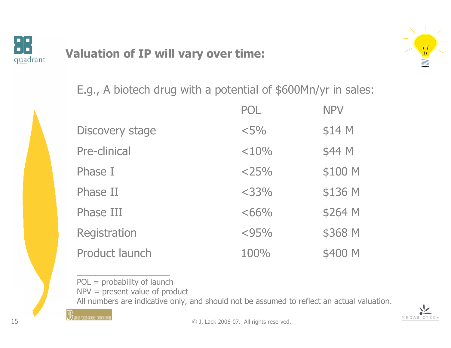

# Valuation of IP will vary over time:



MEDAB

E.g., A biotech drug with a potential of \$600Mn/yr in sales:

|                        | POL.    | <b>NPV</b> |
|------------------------|---------|------------|
| <b>Discovery stage</b> | $< 5\%$ | \$14 M     |
| Pre-clinical           | < 10%   | \$44 M     |
| Phase I                | $<$ 25% | \$100 M    |
| Phase II               | $<$ 33% | \$136 M    |
| Phase III              | $<66\%$ | \$264 M    |
| Registration           | < 95%   | \$368 M    |
| Product launch         | 100%    | \$400 M    |
|                        |         |            |

POL = probability of launch

NPV = present value of product

All numbers are indicative only, and should not be assumed to reflect an actual valuation.

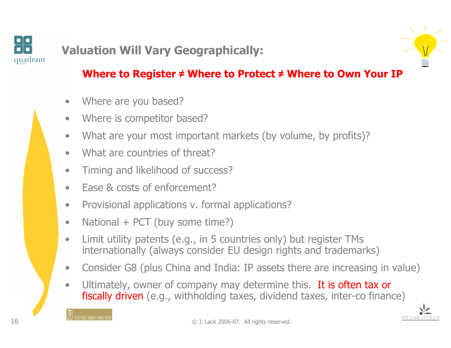

# Valuation Will Vary Geographically:

#### Where to Register  $\neq$  Where to Protect  $\neq$  Where to Own Your IP

- •Where are you based?
- •Where is competitor based?
- •What are your most important markets (by volume, by profits)?
- •What are countries of threat?
- $\bullet$ Timing and likelihood of success?
- •Ease & costs of enforcement?
- $\bullet$ Provisional applications v. formal applications?
- •National + PCT (buy some time?)
- • Limit utility patents (e.g., in 5 countries only) but register TMs internationally (always consider EU design rights and trademarks)
- •Consider G8 (plus China and India: IP assets there are increasing in value)
- •Ultimately, owner of company may determine this. It is often tax or fiscally driven (e.g., withholding taxes, dividend taxes, inter-co finance)

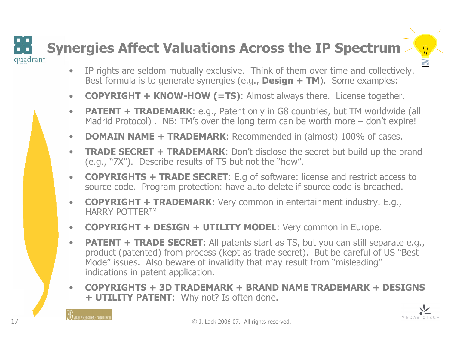# Synergies Affect Valuations Across the IP Spectrumquadrant

- IP rights are seldom mutually exclusive. Think of them over time and collectively.<br>Best formula is to generate synergies (e.g., **Design + TM**). Some examples: •Best formula is to generate synergies (e.g., **Design + TM**). Some examples:
- $\bullet$ COPYRIGHT + KNOW-HOW (=TS): Almost always there. License together.
- •**PATENT + TRADEMARK:** e.g., Patent only in G8 countries, but TM worldwide (all Madrid Protocol). NB: TM's over the long term can be worth more – don't expire!
- $\bullet$ DOMAIN NAME + TRADEMARK: Recommended in (almost) 100% of cases.
- $\bullet$  TRADE SECRET + TRADEMARK: Don't disclose the secret but build up the brand (e.g., "7X"). Describe results of TS but not the "how".
- $\bullet$  COPYRIGHTS + TRADE SECRET: E.g of software: license and restrict access to source code. Program protection: have auto-delete if source code is breached.
- $\bullet$  COPYRIGHT + TRADEMARK: Very common in entertainment industry. E.g., HARRY POTTER™
- **COPYRIGHT + DESIGN + UTILITY MODEL**: Very common in Europe.  $\bullet$
- $\bullet$ **PATENT + TRADE SECRET:** All patents start as TS, but you can still separate e.g., product (patented) from process (kept as trade secret). But be careful of US "Best Mode" issues. Also beware of invalidity that may result from "misleading" indications in patent application.
- • COPYRIGHTS + 3D TRADEMARK + BRAND NAME TRADEMARK + DESIGNS + **UTILITY PATENT**: Why not? Is often done.

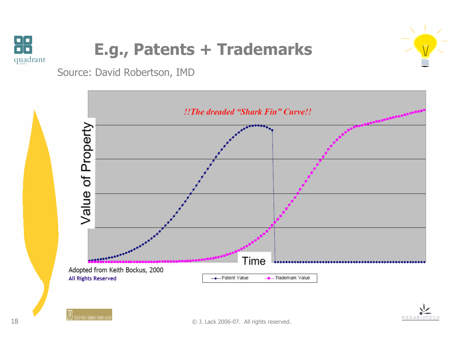

# E.g., Patents + Trademarks



MEDABI

Source: David Robertson, IMD

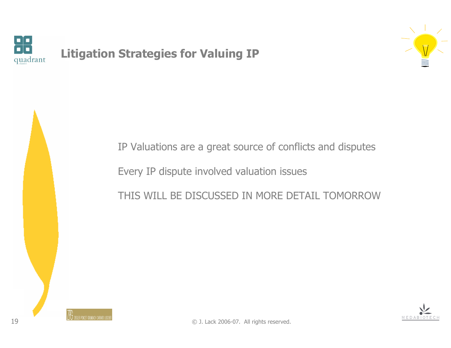

#### Litigation Strategies for Valuing IP







 $\mathbb F$   $\mathbb F$   $\mathbb F$   $\mathbb F$   $\mathbb F$   $\mathbb F$   $\mathbb F$   $\mathbb F$   $\mathbb F$   $\mathbb F$   $\mathbb F$   $\mathbb F$   $\mathbb F$   $\mathbb F$   $\mathbb F$   $\mathbb F$   $\mathbb F$   $\mathbb F$   $\mathbb F$   $\mathbb F$   $\mathbb F$   $\mathbb F$   $\mathbb F$   $\mathbb F$   $\mathbb F$   $\mathbb F$   $\mathbb F$   $\mathbb F$   $\mathbb F$   $\math$ 

IP Valuations are a great source of conflicts and disputes

THIS WILL BE DISCUSSED IN MORE DETAIL TOMORROW

Every IP dispute involved valuation issues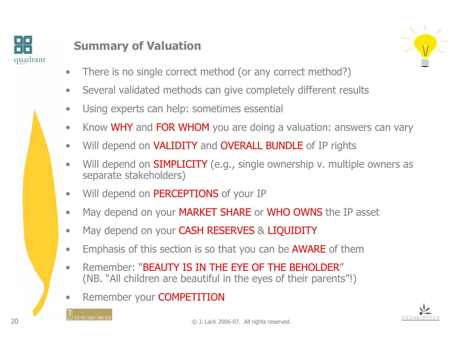

# Summary of Valuation



- •There is no single correct method (or any correct method?)
- •Several validated methods can give completely different results
- $\bullet$ Using experts can help: sometimes essential
- •Know WHY and FOR WHOM you are doing a valuation: answers can vary
- •Will depend on VALIDITY and OVERALL BUNDLE of IP rights
- •Will depend on **SIMPLICITY** (e.g., single ownership v. multiple owners as separate stakeholders)
- $\bullet$ Will depend on PERCEPTIONS of your IP
- $\bullet$ May depend on your MARKET SHARE or WHO OWNS the IP asset
- $\bullet$ May depend on your CASH RESERVES & LIQUIDITY
- $\bullet$ Emphasis of this section is so that you can be **AWARE** of them<br>Remember: "BEAUTY IS IN THE FYE OF THE BEHOLDER"
- •Remember: "BEAUTY IS IN THE EYE OF THE BEHOLDER"<br>(NB. "All children are beautiful in the eyes of their parents"!)
- •Remember your COMPETITION

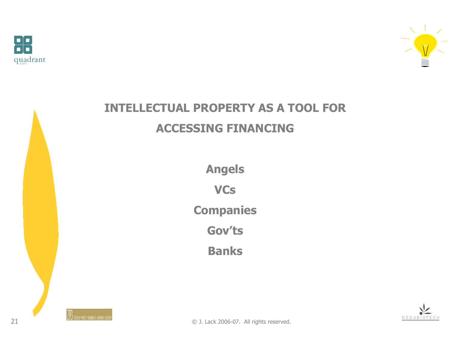



# INTELLECTUAL PROPERTY AS A TOOL FOR ACCESSING FINANCING

Angels**VCs** 

**Companies** 

Gov'ts

Banks

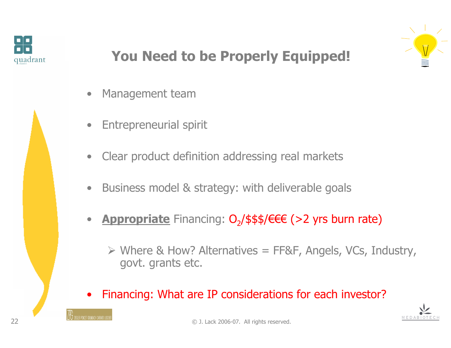



# You Need to be Properly Equipped!

- •Management team
- $\bullet$ Entrepreneurial spirit
- $\bullet$ Clear product definition addressing real markets
- $\bullet$ Business model & strategy: with deliverable goals
- •• Appropriate Financing: O<sub>2</sub>/\$\$\$/€€€ (>2 yrs burn rate)
	- $\triangleright$  Where & How? Alternatives = FF&F, Angels, VCs, Industry, govt. grants etc.
- •Financing: What are IP considerations for each investor?



 $\mathbb F$  traig power grundle chright charge using  $_\odot$  J. Lack 2006-07. All rights reserved.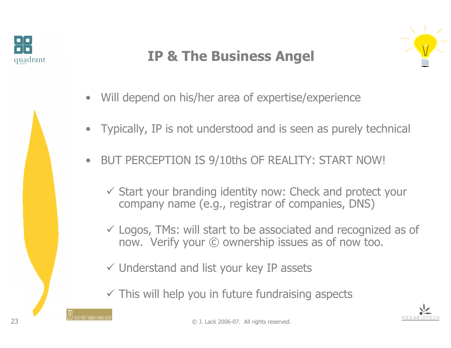

# IP & The Business Angel



- $\bullet$ Will depend on his/her area of expertise/experience
- $\bullet$ Typically, IP is not understood and is seen as purely technical
- $\bullet$  BUT PERCEPTION IS 9/10ths OF REALITY: START NOW!
	- Start your branding identity now: Check and protect your company name (e.g., registrar of companies, DNS)
	- Logos, TMs: will start to be associated and recognized as of now. Verify your © ownership issues as of now too.
	- Understand and list your key IP assets
	- $\checkmark$  This will help you in future fundraising aspects

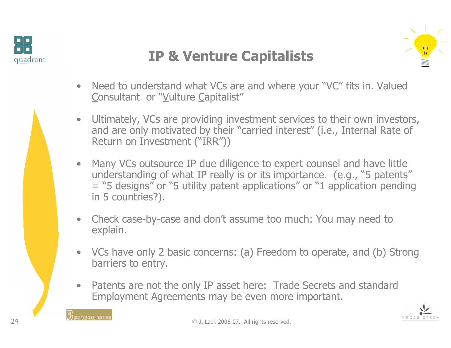



# IP & Venture Capitalists

- Need to understand what VCs are and where your "VC" fits in. Valued Consultant or "Vulture Capitalist" Consultant or "Vulture Capitalist"
- • Ultimately, VCs are providing investment services to their own investors, and are only motivated by their "carried interest" (i.e., Internal Rate of Return on Investment ("IRR"))
- Many VCs outsource IP due diligence to expert counsel and have little<br>'understanding of what IP really is or its importance. (e.g., "5 patents understanding of what IP really is or its importance. (e.g., "5 patents"= "5 designs" or "5 utility patent applications" or "1 application pending<br>in 5 countries?). in 5 countries?).
- Check case-by-case and don't assume too much: You may need to explain.
- VCs have only 2 basic concerns: (a) Freedom to operate, and (b) Strong barriers to entry.
- Patents are not the only IP asset here: Trade Secrets and standard Franchent Agreements may be even more important. Employment Agreements may be even more important.

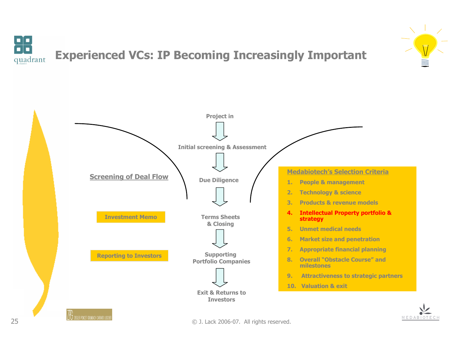





**The TEAL SECONDE CONSTRUCT ON DEAL SECONDE ACT A** Lack 2006-07. All rights reserved.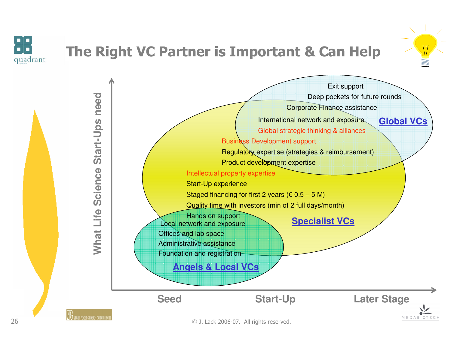

26

# The Right VC Partner is Important & Can Help



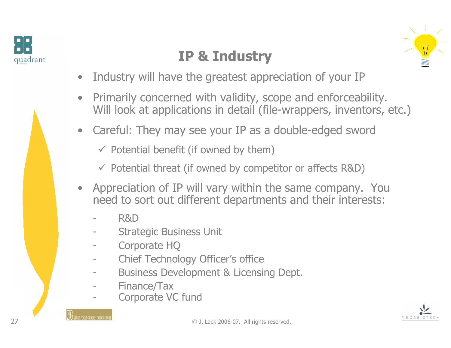





- •Industry will have the greatest appreciation of your IP
- • Primarily concerned with validity, scope and enforceability. Will look at applications in detail (file-wrappers, inventors, etc.)
- •Careful: They may see your IP as a double-edged sword

 $\checkmark$  Potential benefit (if owned by them)

- Potential threat (if owned by competitor or affects R&D)

- Appreciation of IP will vary within the same company. You<br>• need to sort out different departments and their interests: need to sort out different departments and their interests:
	- R&D
	- Strategic Business Unit
	- Corporate HQ
	- Chief Technology Officer's office
	- Business Development & Licensing Dept.
	- Finance/Tax
	- Corporate VC fund

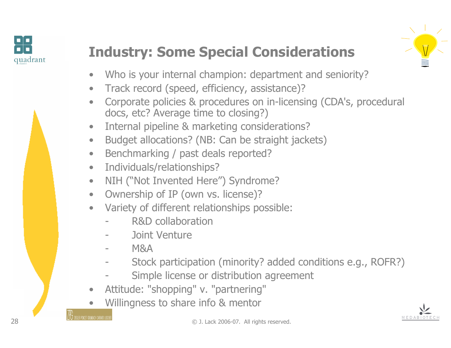



# Industry: Some Special Considerations



- •Who is your internal champion: department and seniority?
- $\bullet$ Track record (speed, efficiency, assistance)?
- $\bullet$  Corporate policies & procedures on in-licensing (CDA's, procedural docs, etc? Average time to closing?)
- $\bullet$ Internal pipeline & marketing considerations?
- $\bullet$ Budget allocations? (NB: Can be straight jackets)
- $\bullet$ Benchmarking / past deals reported?
- $\bullet$ Individuals/relationships?
- $\bullet$ NIH ("Not Invented Here") Syndrome?
- $\bullet$ Ownership of IP (own vs. license)?
- $\bullet$  Variety of different relationships possible:
	- R&D collaboration
	- Joint Venture
	- M&A
	- Stock participation (minority? added conditions e.g., ROFR?)
	- Simple license or distribution agreement
- •Attitude: "shopping" v. "partnering"
- •**•** Willingness to share info & mentor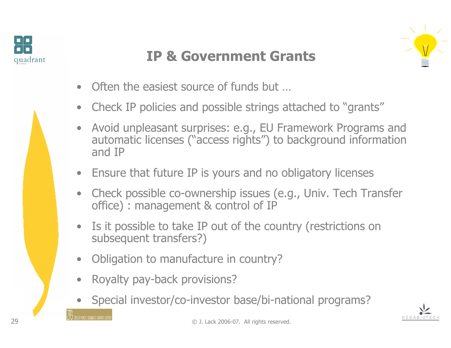



# IP & Government Grants

- •Often the easiest source of funds but …
- $\bullet$ Check IP policies and possible strings attached to "grants"
- • Avoid unpleasant surprises: e.g., EU Framework Programs and automatic licenses ("access rights") to background information and IP
- Ensure that future IP is yours and no obligatory licenses
- $\bullet$  Check possible co-ownership issues (e.g., Univ. Tech Transfer office) : management & control of IP
- $\bullet$  Is it possible to take IP out of the country (restrictions on subsequent transfers?)
- •Obligation to manufacture in country?
- $\bullet$ Royalty pay-back provisions?
- •Special investor/co-investor base/bi-national programs?

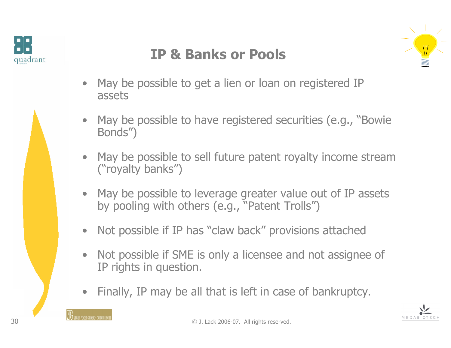



# IP & Banks or Pools



- $\bullet$  May be possible to get a lien or loan on registered IP assets
- $\bullet$  May be possible to have registered securities (e.g., "Bowie Bonds")
- • May be possible to sell future patent royalty income stream ("royalty banks")
- $\bullet$  May be possible to leverage greater value out of IP assets by pooling with others (e.g., "Patent Trolls")
- $\bullet$ Not possible if IP has "claw back" provisions attached
- $\bullet$  Not possible if SME is only a licensee and not assignee of IP rights in question.
- •Finally, IP may be all that is left in case of bankruptcy.

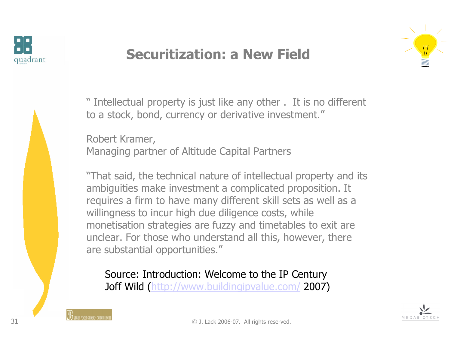

# Securitization: a New Field





" Intellectual property is just like any other . It is no different<br>to a stock, bond, currency or derivative investment " to a stock, bond, currency or derivative investment."

Robert Kramer,Managing partner of Altitude Capital Partners

"That said, the technical nature of intellectual property and itsambiguities make investment a complicated proposition. It requires a firm to have many different skill sets as well as awillingness to incur high due diligence costs, while monetisation strategies are fuzzy and timetables to exit are<br>unclear. For those who understand all this, however, there unclear. For those who understand all this, however, thereare substantial opportunities."

Source: Introduction: Welcome to the IP CenturyJoff Wild (http://www.buildingipvalue.com/ 2007)

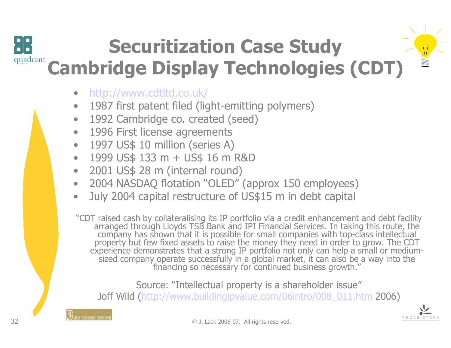# Securitization Case Studyquadrant Cambridge Display Technologies (CDT)

- $\bullet$ http://www.cdtltd.co.uk/
- $\bullet$ 1987 first patent filed (light-emitting polymers)
- $\bullet$ 1992 Cambridge co. created (seed)
- •1996 First license agreements
- •1997 US\$ 10 million (series A)
- •1999 US\$ 133 m + US\$ 16 m R&D
- $\bullet$ 2001 US\$ 28 m (internal round)
- $\bullet$ 2004 NASDAQ flotation "OLED" (approx 150 employees)
- •July 2004 capital restructure of US\$15 m in debt capital

"CDT raised cash by collateralising its IP portfolio via a credit enhancement and debt facility<br>arranged through Lloyds TSB Bank and IPI Financial Services. In taking this route, the<br>company has shown that it is possible f sized company operate successfully in a global market, it can also be a way into the financing so necessary for continued business growth."

Source: "Intellectual property is a shareholder issue"Joff Wild (<u>http://www.buildingipvalue.com/06intro/008\_011.htm</u> 2006)<br>——

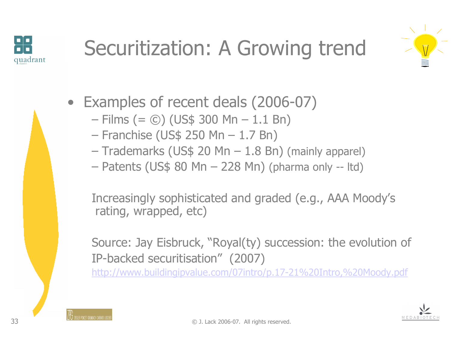





- Examples of recent deals  $(2006-07)$ <br>– Films  $(6.60)$  (US\$ 300 Mn 1.1 Bn)
	- Films  $(= 0)$  (US\$ 300 Mn 1.1 Bn)<br>Franchise (US\$ 250 Mn 1.7 Bn)
	- Franchise (US\$ 250 Mn  $-$  1.7 Bn)<br>Trademarks (US\$ 20 Mn  $-$  1.8 Bn
	- Trademarks (US\$ 20 Mn  $-$  1.8 Bn) (mainly apparel)<br>Datapts (US\$ 80 Mp  $-$  228 Mp) (pharma only utd)
	- Patents (US\$ 80 Mn 228 Mn) (pharma only -- ltd)

Increasingly sophisticated and graded (e.g., AAA Moody's rating, wrapped, etc)

Source: Jay Eisbruck, "Royal(ty) succession: the evolution ofIP-backed securitisation" (2007)

http://www.buildingipvalue.com/07intro/p.17-21%20Intro,%20Moody.pdf

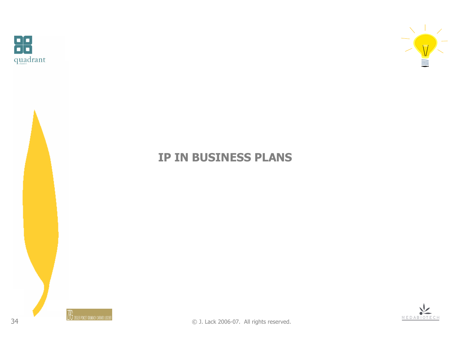



#### IP IN BUSINESS PLANS



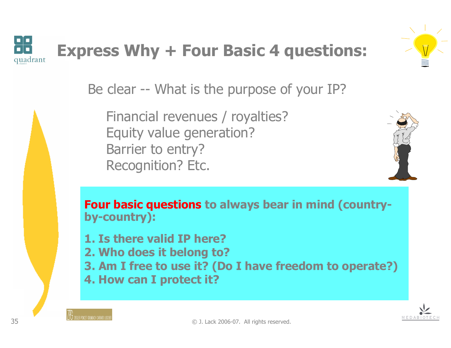

# Express Why + Four Basic 4 questions:



Be clear -- What is the purpose of your IP?

Financial revenues / royalties?Equity value generation?Barrier to entry?Recognition? Etc.



Four basic questions to always bear in mind (countryby-country):

1. Is there valid IP here?

- 2. Who does it belong to?<br>3. Am I free to use it? (Dr
- 3. Am I free to use it? (Do I have freedom to operate?)
- 4. How can I protect it?

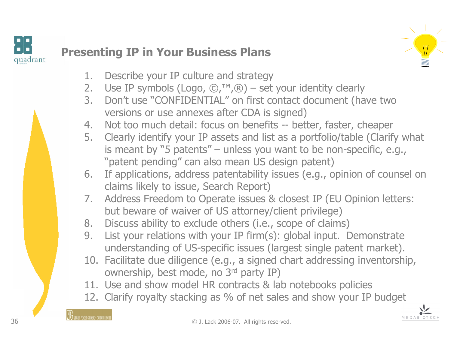



MEDAB

- 1. Describe your IP culture and strategy
- 2. Use IP symbols (Logo,  $\mathbb{O}, \mathbb{M}, \mathbb{R}$ ) set your identity clearly<br>3. Don't use "CONFIDENTIAI" on first contact document (ha
- 3. Don't use "CONFIDENTIAL" on first contact document (have two versions or use annexes after CDA is signed)
- 4. Not too much detail: focus on benefits -- better, faster, cheaper<br>5. Clearly identify your IP assets and list as a portfolio/table (Clarif
- 5. Clearly identify your IP assets and list as a portfolio/table (Clarify what is meant by "5 patents" – unless you want to be non-specific, e.g., "patent pending" can also mean US design patent)
- 6. If applications, address patentability issues (e.g., opinion of counsel on claims likely to issue, Search Report)
- 7. Address Freedom to Operate issues & closest IP (EU Opinion letters:<br>hut heware of waiver of US attorney/client privilege) but beware of waiver of US attorney/client privilege)
- 8. Discuss ability to exclude others (i.e., scope of claims)<br>9. List vour relations with your IP firm(s): global innut. I
- 9. List your relations with your IP firm(s): global input. Demonstrate understanding of US-specific issues (largest single patent market).
- 10. Facilitate due diligence (e.g., a signed chart addressing inventorship, ownership hest mode no  $3^{rd}$  party IP) ownership, best mode, no 3rd party IP)
- 11. Use and show model HR contracts & lab notebooks policies<br>12. Clarify rovalty stacking as % of net sales and show your IP
- 12. Clarify royalty stacking as % of net sales and show your IP budget

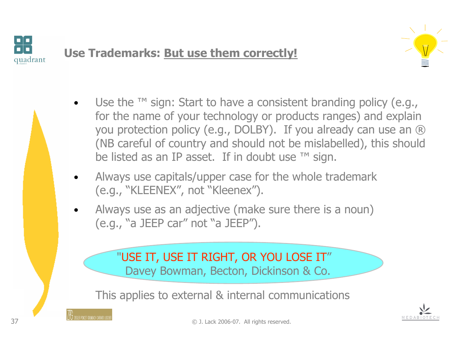

## Use Trademarks: But use them correctly!



- •Use the  $TM$  sign: Start to have a consistent branding policy (e.g., for the name of your technology or products ranges) and explain you protection policy (e.g., DOLBY). If you already can use an ® (NB careful of country and should not be mislabelled), this should be listed as an IP asset. If in doubt use ™ sign.
- • Always use capitals/upper case for the whole trademark(e.g., "KLEENEX", not "Kleenex").
- • Always use as an adjective (make sure there is a noun) (e.g., "a JEEP car" not "a JEEP").

#### "USE IT, USE IT RIGHT, OR YOU LOSE IT"

Davey Bowman, Becton, Dickinson & Co.

This applies to external & internal communications



© J. Lack 2006-07. All rights reserved.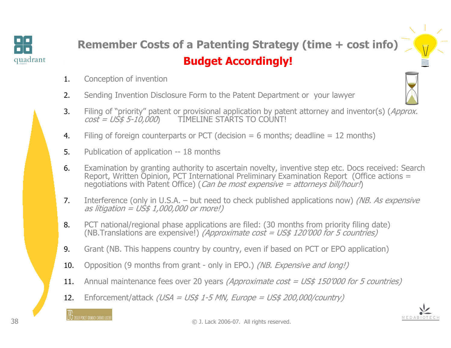

# Remember Costs of a Patenting Strategy (time + cost info)Budget Accordingly!

- 1.Conception of invention
- 2.Sending Invention Disclosure Form to the Patent Department or your lawyer
- 3.Filing of "priority" patent or provisional application by patent attorney and inventor(s) (Approx.<br>  $cost = US5 -10.000$  TIMELINE STARTS TO COUNT! TIMELINE STARTS TO COUNT!
- 4.Filing of foreign counterparts or PCT (decision  $= 6$  months; deadline  $= 12$  months)
- 5.Publication of application -- 18 months
- 6. Examination by granting authority to ascertain novelty, inventive step etc. Docs received: Search Report, Written Opinion, PCT International Preliminary Examination Report (Office actions = negotiations with Patent Office) (*Can be most expensive = attorneys bill/hour!*)
- 7.Interference (only in U.S.A. – but need to check published applications now) *(NB. As expensive* as litigation = US\$ 1,000,000 or more!)
- 8. PCT national/regional phase applications are filed: (30 months from priority filing date) (NB.Translations are expensive!) *(Approximate cost = US\$ 120'000 for 5 countries)*
- 9.Grant (NB. This happens country by country, even if based on PCT or EPO application)
- 10.Opposition (9 months from grant - only in EPO.) (NB. Expensive and long!)
- 11.Annual maintenance fees over 20 years (Approximate cost =  $US$$  150'000 for 5 countries)
- 12.Enforcement/attack (USA = US\$ 1-5 MN, Europe = US\$ 200,000/country)

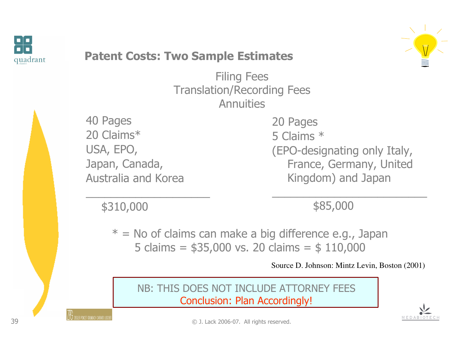



#### Patent Costs: Two Sample Estimates

Filing Fees Translation/Recording FeesAnnuities

40 Pages 20 Claims\* USA, EPO,Japan, Canada,Australia and Korea 20 Pages 5 Claims \* (EPO-designating only Italy, France, Germany, United Kingdom) and Japan

\$310,000

\$85,000

 $*$  = No of claims can make a big difference e.g., Japan 5 claims =  $$35,000$  vs. 20 claims =  $$110,000$ 

Source D. Johnson: Mintz Levin, Boston (2001)

NB: THIS DOES NOT INCLUDE ATTORNEY FEESConclusion: Plan Accordingly!

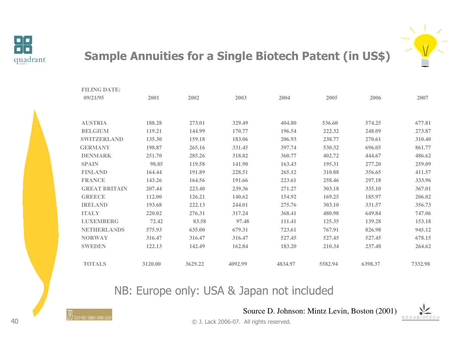

#### Sample Annuities for a Single Biotech Patent (in US\$)



NB: Europe only: USA & Japan not included



Source D. Johnson: Mintz Levin, Boston (2001)

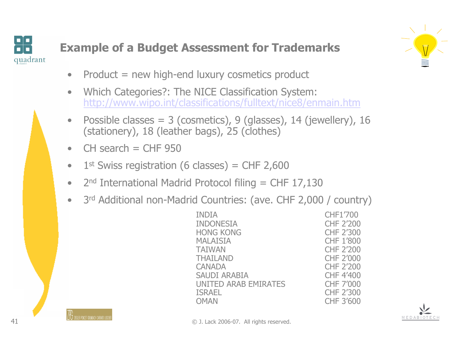



- $\bullet$ Product = new high-end luxury cosmetics product
- $\bullet$  Which Categories?: The NICE Classification System: http://www.wipo.int/classifications/fulltext/nice8/enmain.htm
- Possible classes = 3 (cosmetics), 9 (glasses), 14 (jewellery), 16 (stationery), 18 (leather bags), 25 (clothes) •(stationery), 18 (leather bags), 25 (clothes)
- • $CH$  search  $= CHF 950$
- $\bullet$  $1<sup>st</sup>$  Swiss registration (6 classes) = CHF 2,600
- $\bullet$ 2<sup>nd</sup> International Madrid Protocol filing = CHF 17,130
- $\bullet$ 3rd Additional non-Madrid Countries: (ave. CHF 2,000 / country)<br>CHF1'700

INDIA CHF1'700 INDONESIA CHF 2'200 HONG KONG CHF 2'300 MALAISIA CHF 1'800 TAIWAN CHF 2'200 THAILAND CHF 2'000 CANADA CHF 2'200<br>SAUDI ARABIA CHF 4'400 SAUDI ARABIA CHF 4'400 UNITED ARAB EMIRATES CHF 7'000 ISRAEL CHF 2'300<br>
OMAN CHF 3'600 OMAN CHF 3'600

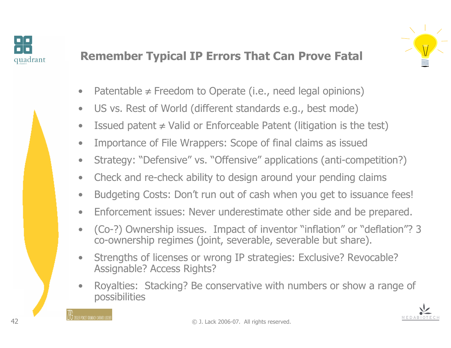



#### Remember Typical IP Errors That Can Prove Fatal

- •Patentable  $\neq$  Freedom to Operate (i.e., need legal opinions)
- $\bullet$ US vs. Rest of World (different standards e.g., best mode)
- $\bullet$ Issued patent  $\neq$  Valid or Enforceable Patent (litigation is the test)
- $\bullet$ Importance of File Wrappers: Scope of final claims as issued
- $\bullet$ Strategy: "Defensive" vs. "Offensive" applications (anti-competition?)
- $\bullet$ Check and re-check ability to design around your pending claims
- •Budgeting Costs: Don't run out of cash when you get to issuance fees!
- •Enforcement issues: Never underestimate other side and be prepared.
- • (Co-?) Ownership issues. Impact of inventor "inflation" or "deflation"? 3 co-ownership regimes (joint, severable, severable but share).
- • Strengths of licenses or wrong IP strategies: Exclusive? Revocable? Assignable? Access Rights?
- • Royalties: Stacking? Be conservative with numbers or show a range of possibilities



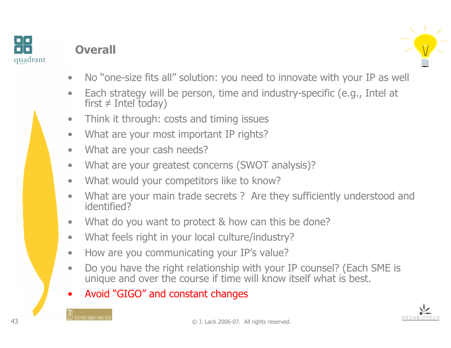

# **Overall**



- $\bullet$ No "one-size fits all" solution: you need to innovate with your IP as well
- $\bullet$  Each strategy will be person, time and industry-specific (e.g., Intel at first  $\neq$  Intel today)
- $\bullet$ Think it through: costs and timing issues
- $\bullet$ What are your most important IP rights?
- •What are your cash needs?
- $\bullet$ What are your greatest concerns (SWOT analysis)?
- •What would your competitors like to know?
- • What are your main trade secrets ? Are they sufficiently understood and identified?
- $\bullet$ What do you want to protect & how can this be done?
- $\bullet$ What feels right in your local culture/industry?
- $\bullet$ How are you communicating your IP's value?
- • Do you have the right relationship with your IP counsel? (Each SME is unique and over the course if time will know itself what is best.
- •Avoid "GIGO" and constant changes

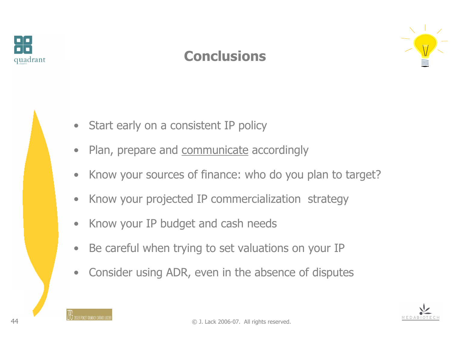

# **Conclusions**





- $\bullet$ Start early on a consistent IP policy
- $\bullet$ Plan, prepare and communicate accordingly
- $\bullet$ Know your sources of finance: who do you plan to target?
- $\bullet$ Know your projected IP commercialization strategy
- $\bullet$ Know your IP budget and cash needs
- $\bullet$ Be careful when trying to set valuations on your IP
- $\bullet$ Consider using ADR, even in the absence of disputes